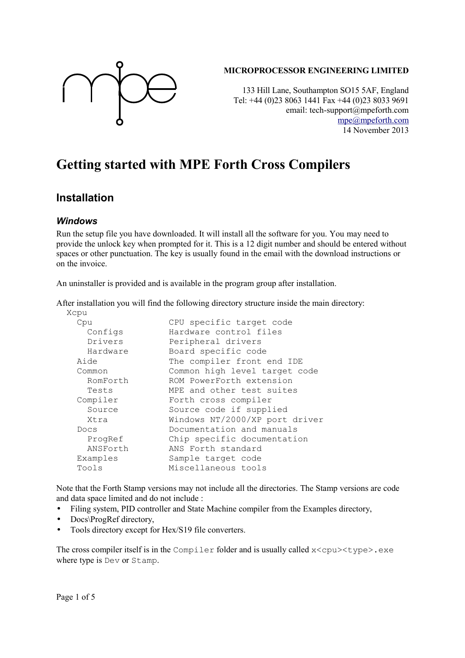

#### **MICROPROCESSOR ENGINEERING LIMITED**

133 Hill Lane, Southampton SO15 5AF, England Tel: +44 (0)23 8063 1441 Fax +44 (0)23 8033 9691 email: tech-support@mpeforth.com [mpe@mpeforth.com](mailto:mpe@mpeforth.com) 14 November 2013

# **Getting started with MPE Forth Cross Compilers**

### **Installation**

#### *Windows*

Run the setup file you have downloaded. It will install all the software for you. You may need to provide the unlock key when prompted for it. This is a 12 digit number and should be entered without spaces or other punctuation. The key is usually found in the email with the download instructions or on the invoice.

An uninstaller is provided and is available in the program group after installation.

After installation you will find the following directory structure inside the main directory:

| Xcpu     |                                |
|----------|--------------------------------|
| Cpu      | CPU specific target code       |
| Configs  | Hardware control files         |
| Drivers  | Peripheral drivers             |
| Hardware | Board specific code            |
| Aide     | The compiler front end IDE     |
| Common   | Common high level target code  |
| RomForth | ROM PowerForth extension       |
| Tests    | MPE and other test suites      |
| Compiler | Forth cross compiler           |
| Source   | Source code if supplied        |
| Xtra     | Windows NT/2000/XP port driver |
| Docs     | Documentation and manuals      |
| ProgRef  | Chip specific documentation    |
| ANSForth | ANS Forth standard             |
| Examples | Sample target code             |
| Tools    | Miscellaneous tools            |
|          |                                |

Note that the Forth Stamp versions may not include all the directories. The Stamp versions are code and data space limited and do not include :

- Filing system, PID controller and State Machine compiler from the Examples directory,
- Docs\ProgRef directory,
- Tools directory except for Hex/S19 file converters.

The cross compiler itself is in the Compiler folder and is usually called  $x$ <cpu><type>.exe where type is Dev or Stamp.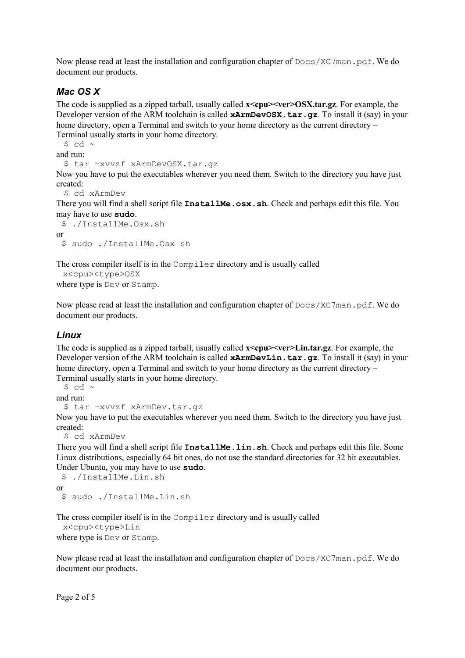Now please read at least the installation and configuration chapter of  $Docs/XC7$  man.pdf. We do document our products.

#### *Mac OS X*

The code is supplied as a zipped tarball, usually called **x**<cpu>ver>OSX.tar.gz. For example, the Developer version of the ARM toolchain is called **xArmDevOSX.tar.gz**. To install it (say) in your home directory, open a Terminal and switch to your home directory as the current directory – Terminal usually starts in your home directory.

 $$$  cd  $\sim$ 

and run:

```
 $ tar -xvvzf xArmDevOSX.tar.gz
```
Now you have to put the executables wherever you need them. Switch to the directory you have just created:

```
 $ cd xArmDev
```
There you will find a shell script file **InstallMe.osx.sh**. Check and perhaps edit this file. You may have to use **sudo**.

```
 $ ./InstallMe.Osx.sh
or
  $ sudo ./InstallMe.Osx sh
```
The cross compiler itself is in the Compiler directory and is usually called

```
 x<cpu><type>OSX
where type is Dev or Stamp.
```
Now please read at least the installation and configuration chapter of  $Docs/XC7$  man.pdf. We do document our products.

#### *Linux*

The code is supplied as a zipped tarball, usually called **x<cpu><ver>Lin.tar.gz**. For example, the Developer version of the ARM toolchain is called **xArmDevLin.tar.gz**. To install it (say) in your home directory, open a Terminal and switch to your home directory as the current directory – Terminal usually starts in your home directory.

 $$$  cd ~

and run:

```
 $ tar -xvvzf xArmDev.tar.gz
```
Now you have to put the executables wherever you need them. Switch to the directory you have just created:

\$ cd xArmDev

There you will find a shell script file **InstallMe.lin.sh**. Check and perhaps edit this file. Some Linux distributions, especially 64 bit ones, do not use the standard directories for 32 bit executables. Under Ubuntu, you may have to use **sudo**.

```
 $ ./InstallMe.Lin.sh
or
  $ sudo ./InstallMe.Lin.sh
```
The cross compiler itself is in the Compiler directory and is usually called

```
 x<cpu><type>Lin
```
where type is Dev or Stamp.

Now please read at least the installation and configuration chapter of  $Docs/XC7man$ . pdf. We do document our products.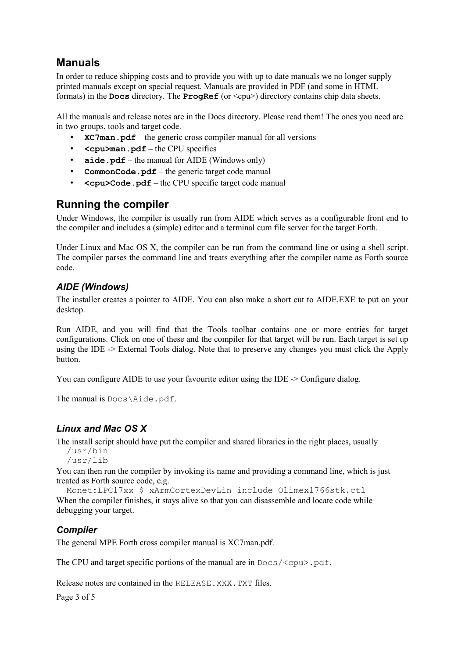## **Manuals**

In order to reduce shipping costs and to provide you with up to date manuals we no longer supply printed manuals except on special request. Manuals are provided in PDF (and some in HTML formats) in the **Docs** directory. The **ProgRef** (or <cpu>) directory contains chip data sheets.

All the manuals and release notes are in the Docs directory. Please read them! The ones you need are in two groups, tools and target code.

- **XC7man.pdf** the generic cross compiler manual for all versions
- **<cpu>man.pdf** the CPU specifics
- **aide.pdf** the manual for AIDE (Windows only)
- **CommonCode.pdf** the generic target code manual
- **<cpu>Code.pdf** the CPU specific target code manual

### **Running the compiler**

Under Windows, the compiler is usually run from AIDE which serves as a configurable front end to the compiler and includes a (simple) editor and a terminal cum file server for the target Forth.

Under Linux and Mac OS X, the compiler can be run from the command line or using a shell script. The compiler parses the command line and treats everything after the compiler name as Forth source code.

#### *AIDE (Windows)*

The installer creates a pointer to AIDE. You can also make a short cut to AIDE.EXE to put on your desktop.

Run AIDE, and you will find that the Tools toolbar contains one or more entries for target configurations. Click on one of these and the compiler for that target will be run. Each target is set up using the IDE -> External Tools dialog. Note that to preserve any changes you must click the Apply button.

You can configure AIDE to use your favourite editor using the IDE  $\geq$  Configure dialog.

The manual is Docs\Aide.pdf.

#### *Linux and Mac OS X*

The install script should have put the compiler and shared libraries in the right places, usually

```
 /usr/bin
 /usr/lib
```
You can then run the compiler by invoking its name and providing a command line, which is just treated as Forth source code, e.g.

 Monet:LPC17xx \$ xArmCortexDevLin include Olimex1766stk.ctl When the compiler finishes, it stays alive so that you can disassemble and locate code while debugging your target.

### *Compiler*

The general MPE Forth cross compiler manual is XC7man.pdf.

The CPU and target specific portions of the manual are in  $Docs/$ ,  $pdf$ .

Release notes are contained in the RELEASE.XXX.TXT files.

Page 3 of 5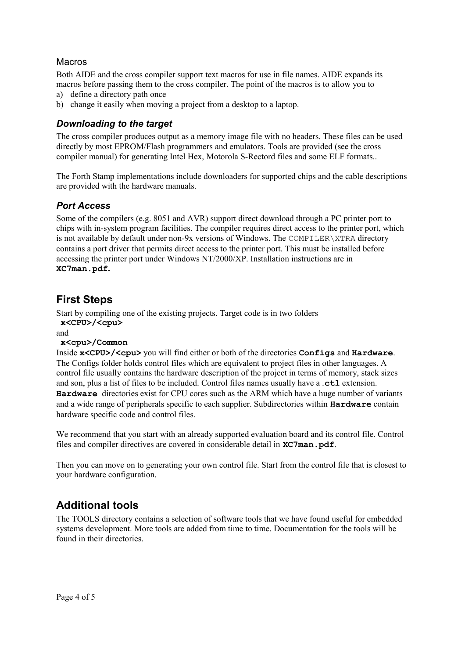#### Macros

Both AIDE and the cross compiler support text macros for use in file names. AIDE expands its macros before passing them to the cross compiler. The point of the macros is to allow you to

- a) define a directory path once
- b) change it easily when moving a project from a desktop to a laptop.

#### *Downloading to the target*

The cross compiler produces output as a memory image file with no headers. These files can be used directly by most EPROM/Flash programmers and emulators. Tools are provided (see the cross compiler manual) for generating Intel Hex, Motorola S-Rectord files and some ELF formats..

The Forth Stamp implementations include downloaders for supported chips and the cable descriptions are provided with the hardware manuals.

#### *Port Access*

Some of the compilers (e.g. 8051 and AVR) support direct download through a PC printer port to chips with in-system program facilities. The compiler requires direct access to the printer port, which is not available by default under non-9x versions of Windows. The COMPILER\XTRA directory contains a port driver that permits direct access to the printer port. This must be installed before accessing the printer port under Windows NT/2000/XP. Installation instructions are in **XC7man.pdf.**

### **First Steps**

Start by compiling one of the existing projects. Target code is in two folders **x<CPU>/<cpu>**

and

#### **x<cpu>/Common**

Inside **x<CPU>/<cpu>** you will find either or both of the directories **Configs** and **Hardware**. The Configs folder holds control files which are equivalent to project files in other languages. A control file usually contains the hardware description of the project in terms of memory, stack sizes and son, plus a list of files to be included. Control files names usually have a .**ctl** extension. **Hardware** directories exist for CPU cores such as the ARM which have a huge number of variants and a wide range of peripherals specific to each supplier. Subdirectories within **Hardware** contain hardware specific code and control files.

We recommend that you start with an already supported evaluation board and its control file. Control files and compiler directives are covered in considerable detail in **XC7man.pdf**.

Then you can move on to generating your own control file. Start from the control file that is closest to your hardware configuration.

### **Additional tools**

The TOOLS directory contains a selection of software tools that we have found useful for embedded systems development. More tools are added from time to time. Documentation for the tools will be found in their directories.